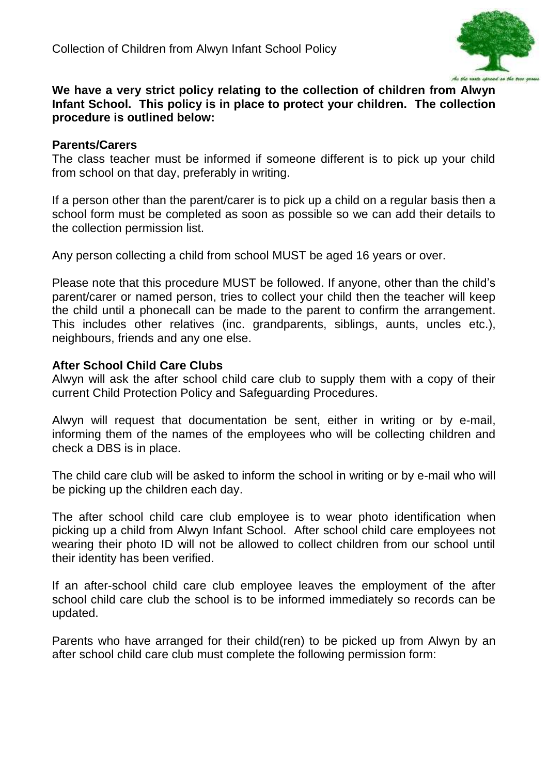

## **We have a very strict policy relating to the collection of children from Alwyn Infant School. This policy is in place to protect your children. The collection procedure is outlined below:**

## **Parents/Carers**

The class teacher must be informed if someone different is to pick up your child from school on that day, preferably in writing.

If a person other than the parent/carer is to pick up a child on a regular basis then a school form must be completed as soon as possible so we can add their details to the collection permission list.

Any person collecting a child from school MUST be aged 16 years or over.

Please note that this procedure MUST be followed. If anyone, other than the child's parent/carer or named person, tries to collect your child then the teacher will keep the child until a phonecall can be made to the parent to confirm the arrangement. This includes other relatives (inc. grandparents, siblings, aunts, uncles etc.), neighbours, friends and any one else.

## **After School Child Care Clubs**

Alwyn will ask the after school child care club to supply them with a copy of their current Child Protection Policy and Safeguarding Procedures.

Alwyn will request that documentation be sent, either in writing or by e-mail, informing them of the names of the employees who will be collecting children and check a DBS is in place.

The child care club will be asked to inform the school in writing or by e-mail who will be picking up the children each day.

The after school child care club employee is to wear photo identification when picking up a child from Alwyn Infant School. After school child care employees not wearing their photo ID will not be allowed to collect children from our school until their identity has been verified.

If an after-school child care club employee leaves the employment of the after school child care club the school is to be informed immediately so records can be updated.

Parents who have arranged for their child(ren) to be picked up from Alwyn by an after school child care club must complete the following permission form: